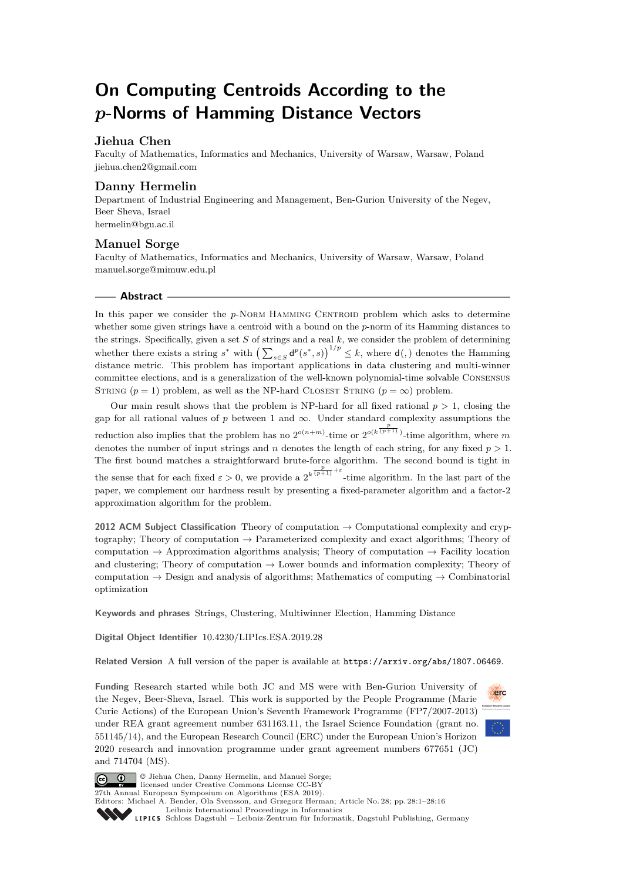# **On Computing Centroids According to the** *p***-Norms of Hamming Distance Vectors**

# **Jiehua Chen**

Faculty of Mathematics, Informatics and Mechanics, University of Warsaw, Warsaw, Poland [jiehua.chen2@gmail.com](mailto:jiehua.chen2@gmail.com)

## **Danny Hermelin**

Department of Industrial Engineering and Management, Ben-Gurion University of the Negev, Beer Sheva, Israel [hermelin@bgu.ac.il](mailto:hermelin@bgu.ac.il)

# **Manuel Sorge**

Faculty of Mathematics, Informatics and Mechanics, University of Warsaw, Warsaw, Poland [manuel.sorge@mimuw.edu.pl](mailto:manuel.sorge@mimuw.edu.pl)

#### **Abstract**

In this paper we consider the *p*-NORM HAMMING CENTROID problem which asks to determine whether some given strings have a centroid with a bound on the *p*-norm of its Hamming distances to the strings. Specifically, given a set *S* of strings and a real *k*, we consider the problem of determining whether there exists a string  $s^*$  with  $\left(\sum_{s \in S} d^p(s^*, s)\right)^{1/p} \leq k$ , where  $d(.)$  denotes the Hamming distance metric. This problem has important applications in data clustering and multi-winner committee elections, and is a generalization of the well-known polynomial-time solvable Consensus STRING  $(p = 1)$  problem, as well as the NP-hard CLOSEST STRING  $(p = \infty)$  problem.

Our main result shows that the problem is NP-hard for all fixed rational  $p > 1$ , closing the gap for all rational values of  $p$  between 1 and  $\infty$ . Under standard complexity assumptions the reduction also implies that the problem has no  $2^{o(n+m)}$ -time or  $2^{o(k^{\frac{p}{(p+1)}})}$ -time algorithm, where *m* denotes the number of input strings and *n* denotes the length of each string, for any fixed  $p > 1$ . The first bound matches a straightforward brute-force algorithm. The second bound is tight in the sense that for each fixed  $\varepsilon > 0$ , we provide a  $2^{k \frac{p}{(p+1)} + \varepsilon}$ -time algorithm. In the last part of the paper, we complement our hardness result by presenting a fixed-parameter algorithm and a factor-2 approximation algorithm for the problem.

**2012 ACM Subject Classification** Theory of computation → Computational complexity and cryptography; Theory of computation  $\rightarrow$  Parameterized complexity and exact algorithms; Theory of computation  $\rightarrow$  Approximation algorithms analysis; Theory of computation  $\rightarrow$  Facility location and clustering; Theory of computation  $\rightarrow$  Lower bounds and information complexity; Theory of computation  $\rightarrow$  Design and analysis of algorithms; Mathematics of computing  $\rightarrow$  Combinatorial optimization

**Keywords and phrases** Strings, Clustering, Multiwinner Election, Hamming Distance

**Digital Object Identifier** [10.4230/LIPIcs.ESA.2019.28](https://doi.org/10.4230/LIPIcs.ESA.2019.28)

**Related Version** A full version of the paper is available at <https://arxiv.org/abs/1807.06469>.

**Funding** Research started while both JC and MS were with Ben-Gurion University of the Negev, Beer-Sheva, Israel. This work is supported by the People Programme (Marie Curie Actions) of the European Union's Seventh Framework Programme (FP7/2007-2013) under REA grant agreement number 631163.11, the Israel Science Foundation (grant no. 551145/14), and the European Research Council (ERC) under the European Union's Horizon 2020 research and innovation programme under grant agreement numbers 677651 (JC) and 714704 (MS).





© Jiehua Chen, Danny Hermelin, and Manuel Sorge; licensed under Creative Commons License CC-BY 27th Annual European Symposium on Algorithms (ESA 2019).

Editors: Michael A. Bender, Ola Svensson, and Grzegorz Herman; Article No. 28; pp. 28:1–28[:16](#page-15-0)

[Schloss Dagstuhl – Leibniz-Zentrum für Informatik, Dagstuhl Publishing, Germany](https://www.dagstuhl.de)

[Leibniz International Proceedings in Informatics](https://www.dagstuhl.de/lipics/)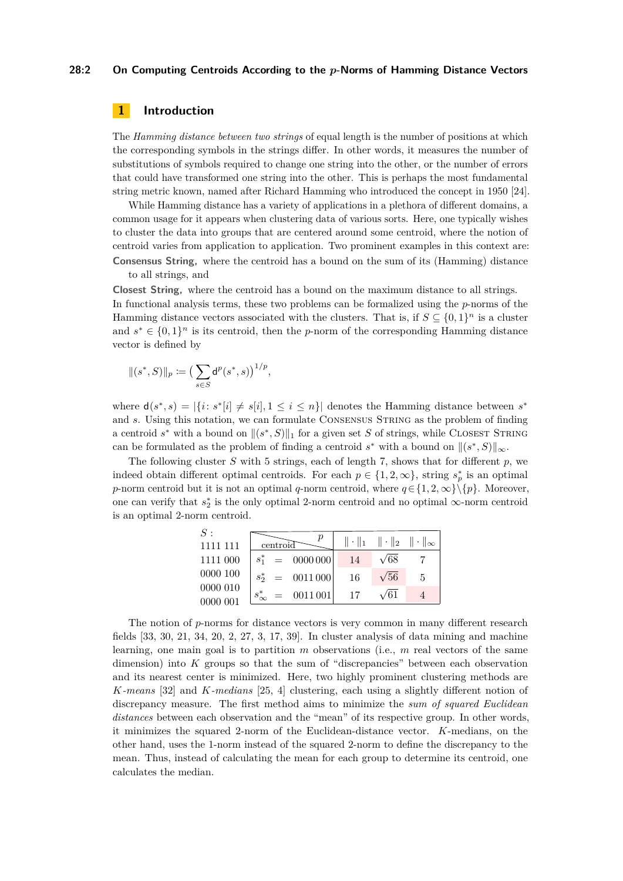#### **28:2 On Computing Centroids According to the** *p***-Norms of Hamming Distance Vectors**

# **1 Introduction**

The *Hamming distance between two strings* of equal length is the number of positions at which the corresponding symbols in the strings differ. In other words, it measures the number of substitutions of symbols required to change one string into the other, or the number of errors that could have transformed one string into the other. This is perhaps the most fundamental string metric known, named after Richard Hamming who introduced the concept in 1950 [\[24\]](#page-14-0).

While Hamming distance has a variety of applications in a plethora of different domains, a common usage for it appears when clustering data of various sorts. Here, one typically wishes to cluster the data into groups that are centered around some centroid, where the notion of centroid varies from application to application. Two prominent examples in this context are: **Consensus String,** where the centroid has a bound on the sum of its (Hamming) distance to all strings, and

**Closest String,** where the centroid has a bound on the maximum distance to all strings. In functional analysis terms, these two problems can be formalized using the *p*-norms of the Hamming distance vectors associated with the clusters. That is, if  $S \subseteq \{0,1\}^n$  is a cluster and  $s^* \in \{0,1\}^n$  is its centroid, then the *p*-norm of the corresponding Hamming distance vector is defined by

$$
\|(s^*,S)\|_p \coloneqq \big(\sum_{s \in S} \mathsf{d}^p(s^*,s)\big)^{1/p},
$$

where  $d(s^*, s) = |\{i : s^*[i] \neq s[i], 1 \leq i \leq n\}|$  denotes the Hamming distance between  $s^*$ and *s*. Using this notation, we can formulate CONSENSUS STRING as the problem of finding a centroid  $s^*$  with a bound on  $\|(s^*, S)\|_1$  for a given set *S* of strings, while CLOSEST STRING can be formulated as the problem of finding a centroid  $s^*$  with a bound on  $\|(s^*,S)\|_{\infty}$ .

The following cluster *S* with 5 strings, each of length 7, shows that for different *p*, we indeed obtain different optimal centroids. For each  $p \in \{1, 2, \infty\}$ , string  $s_p^*$  is an optimal *p*-norm centroid but it is not an optimal *q*-norm centroid, where  $q \in \{1, 2, \infty\}\{p\}$ . Moreover, one can verify that  $s_2^*$  is the only optimal 2-norm centroid and no optimal  $\infty$ -norm centroid is an optimal 2-norm centroid.

|  | 14                                                        | $\sqrt{68}$       |                                              |
|--|-----------------------------------------------------------|-------------------|----------------------------------------------|
|  | 16                                                        | $\sqrt{56}$       | .5                                           |
|  | 17                                                        | $\sqrt{61}$       |                                              |
|  | centroid<br>$s_2^* = 0011000$<br>$s^*_{\infty} = 0011001$ | $s_1^* = 0000000$ | $\ \cdot\ _1 \ \cdot\ _2 \ \cdot\ _{\infty}$ |

The notion of *p*-norms for distance vectors is very common in many different research fields [\[33,](#page-14-1) [30,](#page-14-2) [21,](#page-14-3) [34,](#page-14-4) [20,](#page-14-5) [2,](#page-13-0) [27,](#page-14-6) [3,](#page-13-1) [17,](#page-14-7) [39\]](#page-15-1). In cluster analysis of data mining and machine learning, one main goal is to partition *m* observations (i.e., *m* real vectors of the same dimension) into *K* groups so that the sum of "discrepancies" between each observation and its nearest center is minimized. Here, two highly prominent clustering methods are *K-means* [\[32\]](#page-14-8) and *K-medians* [\[25,](#page-14-9) [4\]](#page-13-2) clustering, each using a slightly different notion of discrepancy measure. The first method aims to minimize the *sum of squared Euclidean distances* between each observation and the "mean" of its respective group. In other words, it minimizes the squared 2-norm of the Euclidean-distance vector. *K*-medians, on the other hand, uses the 1-norm instead of the squared 2-norm to define the discrepancy to the mean. Thus, instead of calculating the mean for each group to determine its centroid, one calculates the median.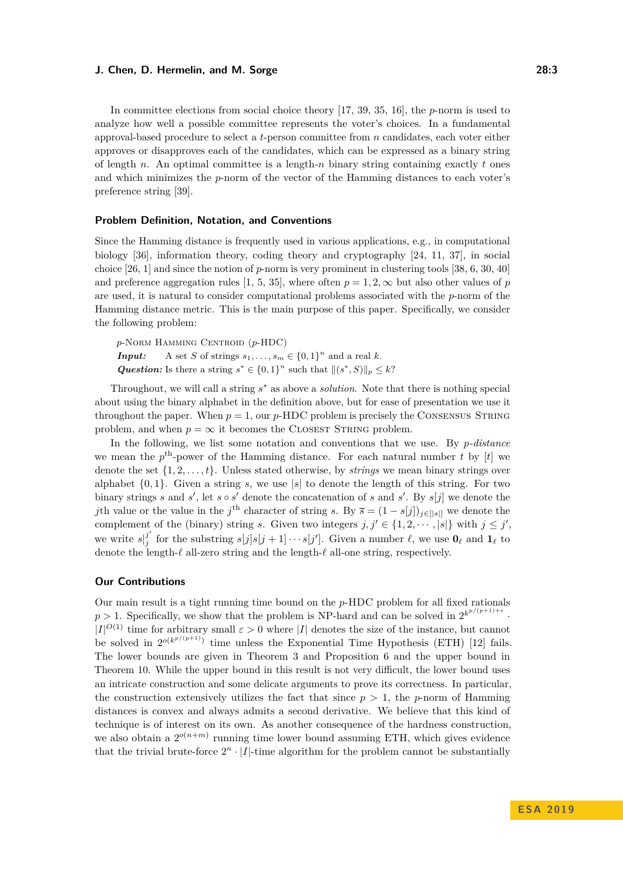In committee elections from social choice theory [\[17,](#page-14-7) [39,](#page-15-1) [35,](#page-14-10) [16\]](#page-14-11), the *p*-norm is used to analyze how well a possible committee represents the voter's choices. In a fundamental approval-based procedure to select a *t*-person committee from *n* candidates, each voter either approves or disapproves each of the candidates, which can be expressed as a binary string of length *n*. An optimal committee is a length-*n* binary string containing exactly *t* ones and which minimizes the *p*-norm of the vector of the Hamming distances to each voter's preference string [\[39\]](#page-15-1).

#### **Problem Definition, Notation, and Conventions**

Since the Hamming distance is frequently used in various applications, e.g., in computational biology [\[36\]](#page-15-2), information theory, coding theory and cryptography [\[24,](#page-14-0) [11,](#page-13-3) [37\]](#page-15-3), in social choice [\[26,](#page-14-12) [1\]](#page-13-4) and since the notion of *p*-norm is very prominent in clustering tools [\[38,](#page-15-4) [6,](#page-13-5) [30,](#page-14-2) [40\]](#page-15-5) and preference aggregation rules [\[1,](#page-13-4) [5,](#page-13-6) [35\]](#page-14-10), where often  $p = 1, 2, \infty$  but also other values of *p* are used, it is natural to consider computational problems associated with the *p*-norm of the Hamming distance metric. This is the main purpose of this paper. Specifically, we consider the following problem:

*p*-Norm Hamming Centroid (*p*-HDC) *Input:* A set *S* of strings  $s_1, \ldots, s_m \in \{0, 1\}^n$  and a real *k*. *Question:* Is there a string  $s^* \in \{0,1\}^n$  such that  $||(s^*, S)||_p \leq k$ ?

Throughout, we will call a string *s* <sup>∗</sup> as above a *solution*. Note that there is nothing special about using the binary alphabet in the definition above, but for ease of presentation we use it throughout the paper. When  $p = 1$ , our  $p$ -HDC problem is precisely the CONSENSUS STRING problem, and when  $p = \infty$  it becomes the CLOSEST STRING problem.

In the following, we list some notation and conventions that we use. By *p-distance* we mean the  $p^{\text{th}}$ -power of the Hamming distance. For each natural number *t* by [*t*] we denote the set {1*,* 2*, . . . , t*}. Unless stated otherwise, by *strings* we mean binary strings over alphabet  $\{0, 1\}$ . Given a string *s*, we use |*s*| to denote the length of this string. For two binary strings *s* and *s*', let  $s \circ s'$  denote the concatenation of *s* and *s'*. By  $s[j]$  we denote the *j*th value or the value in the *j*<sup>th</sup> character of string *s*. By  $\bar{s} = (1 - s[j])_{j \in [|s|]}$  we denote the complement of the (binary) string *s*. Given two integers  $j, j' \in \{1, 2, \dots, |s|\}$  with  $j \leq j'$ , we write  $s^{j'}_i$ *j*(*j* for the substring  $s[j]s[j+1]\cdots s[j']$ . Given a number  $\ell$ , we use  $\mathbf{0}_{\ell}$  and  $\mathbf{1}_{\ell}$  to denote the length- $\ell$  all-zero string and the length- $\ell$  all-one string, respectively.

#### **Our Contributions**

Our main result is a tight running time bound on the *p*-HDC problem for all fixed rationals  $p > 1$ . Specifically, we show that the problem is NP-hard and can be solved in  $2^{k^{p/(p+1)+\varepsilon}}$ .  $|I|^{O(1)}$  time for arbitrary small  $\varepsilon > 0$  where  $|I|$  denotes the size of the instance, but cannot be solved in  $2^{o(k^{p/(p+1)})}$  time unless the Exponential Time Hypothesis (ETH) [\[12\]](#page-13-7) fails. The lower bounds are given in Theorem [3](#page-4-0) and Proposition [6](#page-9-0) and the upper bound in Theorem [10.](#page-10-0) While the upper bound in this result is not very difficult, the lower bound uses an intricate construction and some delicate arguments to prove its correctness. In particular, the construction extensively utilizes the fact that since  $p > 1$ , the *p*-norm of Hamming distances is convex and always admits a second derivative. We believe that this kind of technique is of interest on its own. As another consequence of the hardness construction, we also obtain a  $2^{o(n+m)}$  running time lower bound assuming ETH, which gives evidence that the trivial brute-force  $2^n \cdot |I|$ -time algorithm for the problem cannot be substantially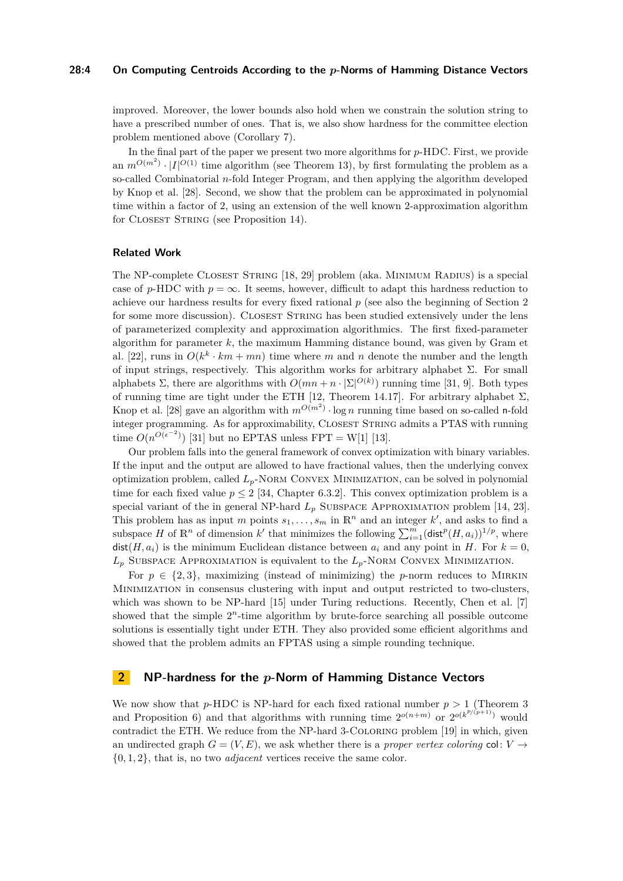#### **28:4 On Computing Centroids According to the** *p***-Norms of Hamming Distance Vectors**

improved. Moreover, the lower bounds also hold when we constrain the solution string to have a prescribed number of ones. That is, we also show hardness for the committee election problem mentioned above (Corollary [7\)](#page-9-1).

In the final part of the paper we present two more algorithms for *p*-HDC. First, we provide an  $m^{O(m^2)} \cdot |I|^{O(1)}$  time algorithm (see Theorem [13\)](#page-12-0), by first formulating the problem as a so-called Combinatorial *n*-fold Integer Program, and then applying the algorithm developed by Knop et al. [\[28\]](#page-14-13). Second, we show that the problem can be approximated in polynomial time within a factor of 2, using an extension of the well known 2-approximation algorithm for CLOSEST STRING (see Proposition [14\)](#page-12-1).

#### **Related Work**

The NP-complete Closest String [\[18,](#page-14-14) [29\]](#page-14-15) problem (aka. Minimum Radius) is a special case of *p*-HDC with  $p = \infty$ . It seems, however, difficult to adapt this hardness reduction to achieve our hardness results for every fixed rational *p* (see also the beginning of Section [2](#page-3-0) for some more discussion). CLOSEST STRING has been studied extensively under the lens of parameterized complexity and approximation algorithmics. The first fixed-parameter algorithm for parameter *k*, the maximum Hamming distance bound, was given by Gram et al. [\[22\]](#page-14-16), runs in  $O(k^k \cdot km + mn)$  time where m and n denote the number and the length of input strings, respectively. This algorithm works for arbitrary alphabet  $\Sigma$ . For small alphabets  $\Sigma$ , there are algorithms with  $O(mn + n \cdot |\Sigma|^{O(k)})$  running time [\[31,](#page-14-17) [9\]](#page-13-8). Both types of running time are tight under the ETH [\[12,](#page-13-7) Theorem 14.17]. For arbitrary alphabet  $\Sigma$ , Knop et al. [\[28\]](#page-14-13) gave an algorithm with  $m^{O(m^2)} \cdot \log n$  running time based on so-called n-fold integer programming. As for approximability, CLOSEST STRING admits a PTAS with running time  $O(n^{O(\epsilon^{-2})})$  [\[31\]](#page-14-17) but no EPTAS unless FPT = W[1] [\[13\]](#page-13-9).

Our problem falls into the general framework of convex optimization with binary variables. If the input and the output are allowed to have fractional values, then the underlying convex optimization problem, called *Lp*-Norm Convex Minimization, can be solved in polynomial time for each fixed value  $p \leq 2$  [\[34,](#page-14-4) Chapter 6.3.2]. This convex optimization problem is a special variant of the in general NP-hard  $L_p$  SUBSPACE APPROXIMATION problem [\[14,](#page-14-18) [23\]](#page-14-19). This problem has as input *m* points  $s_1, \ldots, s_m$  in  $\mathbb{R}^n$  and an integer  $k'$ , and asks to find a subspace *H* of  $\mathbb{R}^n$  of dimension *k'* that minimizes the following  $\sum_{i=1}^m (\text{dist}^p(H, a_i))^{1/p}$ , where  $dist(H, a_i)$  is the minimum Euclidean distance between  $a_i$  and any point in *H*. For  $k = 0$ ,  $L_p$  SUBSPACE APPROXIMATION is equivalent to the  $L_p$ -Norm Convex Minimization.

For  $p \in \{2,3\}$ , maximizing (instead of minimizing) the *p*-norm reduces to MIRKIN Minimization in consensus clustering with input and output restricted to two-clusters, which was shown to be NP-hard [\[15\]](#page-14-20) under Turing reductions. Recently, Chen et al. [\[7\]](#page-13-10) showed that the simple  $2^n$ -time algorithm by brute-force searching all possible outcome solutions is essentially tight under ETH. They also provided some efficient algorithms and showed that the problem admits an FPTAS using a simple rounding technique.

# <span id="page-3-0"></span>**2 NP-hardness for the** *p***-Norm of Hamming Distance Vectors**

We now show that *p*-HDC is NP-hard for each fixed rational number  $p > 1$  (Theorem [3](#page-4-0)) and Proposition [6\)](#page-9-0) and that algorithms with running time  $2^{o(n+m)}$  or  $2^{o(k^{p/(p+1)})}$  would contradict the ETH. We reduce from the NP-hard 3-Coloring problem [\[19\]](#page-14-21) in which, given an undirected graph  $G = (V, E)$ , we ask whether there is a *proper vertex coloring* col:  $V \rightarrow$ {0*,* 1*,* 2}, that is, no two *adjacent* vertices receive the same color.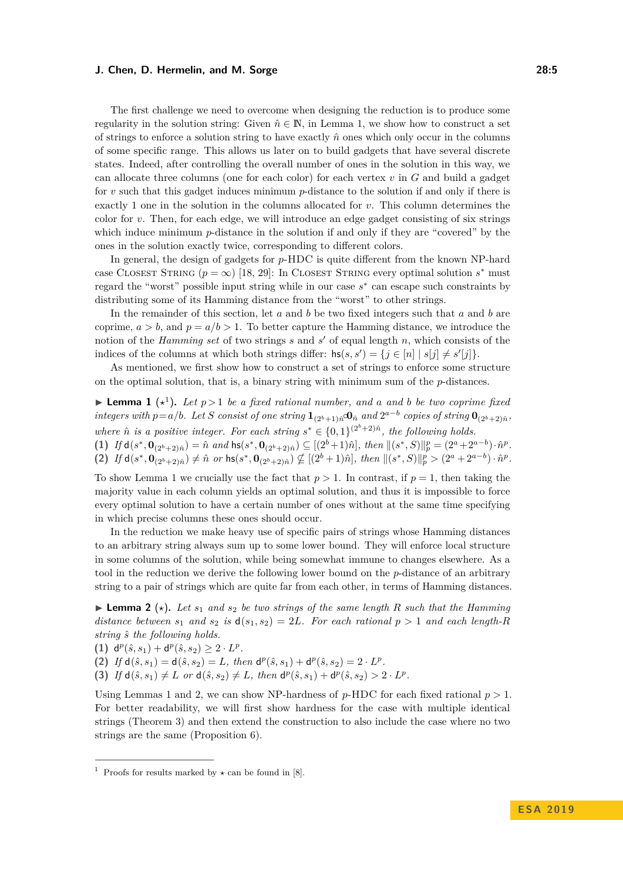The first challenge we need to overcome when designing the reduction is to produce some regularity in the solution string: Given  $\hat{n} \in \mathbb{N}$ , in Lemma [1,](#page-4-1) we show how to construct a set of strings to enforce a solution string to have exactly  $\hat{n}$  ones which only occur in the columns of some specific range. This allows us later on to build gadgets that have several discrete states. Indeed, after controlling the overall number of ones in the solution in this way, we can allocate three columns (one for each color) for each vertex *v* in *G* and build a gadget for *v* such that this gadget induces minimum *p*-distance to the solution if and only if there is exactly 1 one in the solution in the columns allocated for *v*. This column determines the color for *v*. Then, for each edge, we will introduce an edge gadget consisting of six strings which induce minimum *p*-distance in the solution if and only if they are "covered" by the ones in the solution exactly twice, corresponding to different colors.

In general, the design of gadgets for *p*-HDC is quite different from the known NP-hard case CLOSEST STRING  $(p = \infty)$  [\[18,](#page-14-14) [29\]](#page-14-15): In CLOSEST STRING every optimal solution  $s^*$  must regard the "worst" possible input string while in our case *s* ∗ can escape such constraints by distributing some of its Hamming distance from the "worst" to other strings.

In the remainder of this section, let *a* and *b* be two fixed integers such that *a* and *b* are coprime,  $a > b$ , and  $p = a/b > 1$ . To better capture the Hamming distance, we introduce the notion of the *Hamming set* of two strings *s* and *s'* of equal length *n*, which consists of the indices of the columns at which both strings differ:  $\text{hs}(s, s') = \{j \in [n] \mid s[j] \neq s'[j]\}.$ 

As mentioned, we first show how to construct a set of strings to enforce some structure on the optimal solution, that is, a binary string with minimum sum of the *p*-distances.

<span id="page-4-1"></span> $\blacktriangleright$  **Lemma [1](#page-4-2)** ( $\star$ <sup>1</sup>). Let  $p > 1$  be a fixed rational number, and a and b be two coprime fixed integers with  $p=a/b$ . Let S consist of one string  $\mathbf{1}_{(2^b+1)\hat{n}}\mathbf{0}_{\hat{n}}$  and  $2^{a-b}$  copies of string  $\mathbf{0}_{(2^b+2)\hat{n}}$ , *where*  $\hat{n}$  *is a positive integer. For each string*  $s^* \in \{0,1\}^{(2^b+2)\hat{n}}$ *, the following holds.* 

<span id="page-4-6"></span><span id="page-4-5"></span>(1) If  $d(s^*, 0_{(2^b+2)\hat{n}}) = \hat{n}$  and  $\text{hs}(s^*, 0_{(2^b+2)\hat{n}}) \subseteq [(2^b+1)\hat{n}],$  then  $||(s^*, S)||_p^p = (2^a + 2^{a-b}) \cdot \hat{n}^p$ . (2) If  $d(s^*, 0_{(2^b+2)\hat{n}}) \neq \hat{n}$  or  $\text{hs}(s^*, 0_{(2^b+2)\hat{n}}) \nsubseteq [(2^b+1)\hat{n}],$  then  $||(s^*, S)||_p^p > (2^a + 2^{a-b}) \cdot \hat{n}^p$ .

To show Lemma [1](#page-4-1) we crucially use the fact that  $p > 1$ . In contrast, if  $p = 1$ , then taking the majority value in each column yields an optimal solution, and thus it is impossible to force every optimal solution to have a certain number of ones without at the same time specifying in which precise columns these ones should occur.

In the reduction we make heavy use of specific pairs of strings whose Hamming distances to an arbitrary string always sum up to some lower bound. They will enforce local structure in some columns of the solution, while being somewhat immune to changes elsewhere. As a tool in the reduction we derive the following lower bound on the *p*-distance of an arbitrary string to a pair of strings which are quite far from each other, in terms of Hamming distances.

<span id="page-4-3"></span>**I Lemma 2** ( $\star$ ). Let  $s_1$  and  $s_2$  be two strings of the same length R such that the Hamming *distance between*  $s_1$  *and*  $s_2$  *is*  $d(s_1, s_2) = 2L$ *. For each rational*  $p > 1$  *and each length-R string s*ˆ *the following holds.*

<span id="page-4-4"></span>(1)  $d^p(\hat{s}, s_1) + d^p(\hat{s}, s_2) \geq 2 \cdot L^p$ .

(2) *If*  $d(\hat{s}, s_1) = d(\hat{s}, s_2) = L$ *, then*  $d^p(\hat{s}, s_1) + d^p(\hat{s}, s_2) = 2 \cdot L^p$ *.* 

<span id="page-4-7"></span>(3) *If*  $d(\hat{s}, s_1) \neq L$  *or*  $d(\hat{s}, s_2) \neq L$ *, then*  $d^p(\hat{s}, s_1) + d^p(\hat{s}, s_2) > 2 \cdot L^p$ *.* 

Using Lemmas [1](#page-4-1) and [2,](#page-4-3) we can show NP-hardness of  $p$ -HDC for each fixed rational  $p > 1$ . For better readability, we will first show hardness for the case with multiple identical strings (Theorem [3\)](#page-4-0) and then extend the construction to also include the case where no two strings are the same (Proposition [6\)](#page-9-0).

<span id="page-4-2"></span><span id="page-4-0"></span><sup>&</sup>lt;sup>1</sup> Proofs for results marked by  $\star$  can be found in [\[8\]](#page-13-11).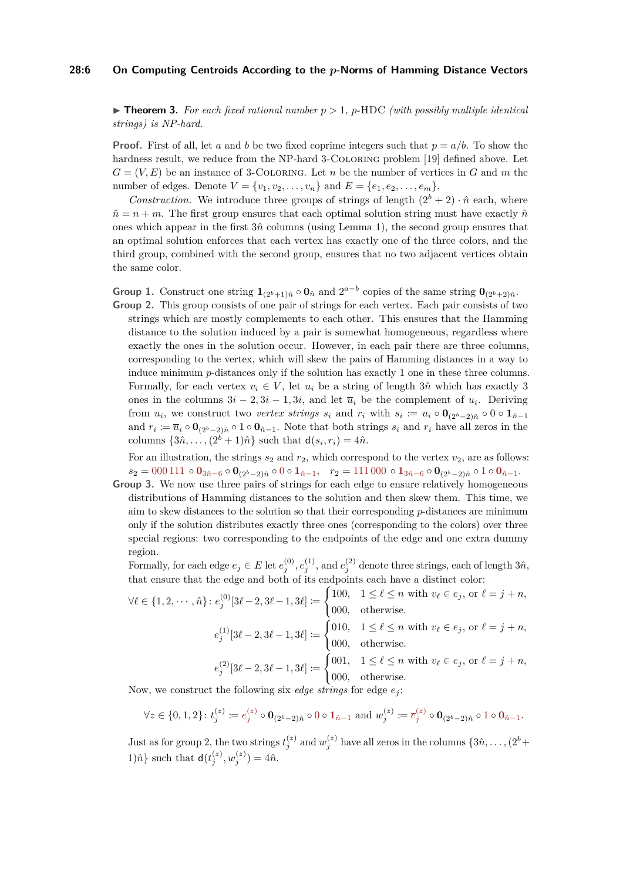#### **28:6 On Computing Centroids According to the** *p***-Norms of Hamming Distance Vectors**

 $\triangleright$  **Theorem 3.** For each fixed rational number  $p > 1$ , p-HDC (with possibly multiple identical *strings) is NP-hard.*

**Proof.** First of all, let *a* and *b* be two fixed coprime integers such that  $p = a/b$ . To show the hardness result, we reduce from the NP-hard 3-COLORING problem [\[19\]](#page-14-21) defined above. Let  $G = (V, E)$  be an instance of 3-COLORING. Let *n* be the number of vertices in *G* and *m* the number of edges. Denote  $V = \{v_1, v_2, \ldots, v_n\}$  and  $E = \{e_1, e_2, \ldots, e_m\}.$ 

*Construction.* We introduce three groups of strings of length  $(2^b + 2) \cdot \hat{n}$  each, where  $\hat{n} = n + m$ . The first group ensures that each optimal solution string must have exactly  $\hat{n}$ ones which appear in the first  $3\hat{n}$  columns (using Lemma [1\)](#page-4-1), the second group ensures that an optimal solution enforces that each vertex has exactly one of the three colors, and the third group, combined with the second group, ensures that no two adjacent vertices obtain the same color.

**Group 1.** Construct one string  $\mathbf{1}_{(2^b+1)\hat{n}} \circ \mathbf{0}_{\hat{n}}$  and  $2^{a-b}$  copies of the same string  $\mathbf{0}_{(2^b+2)\hat{n}}$ .

**Group 2.** This group consists of one pair of strings for each vertex. Each pair consists of two strings which are mostly complements to each other. This ensures that the Hamming distance to the solution induced by a pair is somewhat homogeneous, regardless where exactly the ones in the solution occur. However, in each pair there are three columns, corresponding to the vertex, which will skew the pairs of Hamming distances in a way to induce minimum *p*-distances only if the solution has exactly 1 one in these three columns. Formally, for each vertex  $v_i \in V$ , let  $u_i$  be a string of length 3 $\hat{n}$  which has exactly 3 ones in the columns  $3i - 2, 3i - 1, 3i$ , and let  $\overline{u}_i$  be the complement of  $u_i$ . Deriving from  $u_i$ , we construct two *vertex strings*  $s_i$  and  $r_i$  with  $s_i := u_i \circ \mathbf{0}_{(2^b-2)\hat{n}} \circ \mathbf{0} \circ \mathbf{1}_{\hat{n}-1}$ and  $r_i \coloneqq \overline{u}_i \circ \mathbf{0}_{(2^b-2)\hat{n}} \circ 1 \circ \mathbf{0}_{\hat{n}-1}$ . Note that both strings  $s_i$  and  $r_i$  have all zeros in the columns  $\{3\hat{n}, \ldots, (2^b + 1)\hat{n}\}$  such that  $d(s_i, r_i) = 4\hat{n}$ .

For an illustration, the strings  $s_2$  and  $r_2$ , which correspond to the vertex  $v_2$ , are as follows:  $s_2 = 000111 \circ \mathbf{0}_{3n-6} \circ \mathbf{0}_{(2^b-2)\hat{n}} \circ 0 \circ \mathbf{1}_{\hat{n}-1}$ ,  $r_2 = 111000 \circ \mathbf{1}_{3\hat{n}-6} \circ \mathbf{0}_{(2^b-2)\hat{n}} \circ 1 \circ \mathbf{0}_{\hat{n}-1}$ .

**Group 3.** We now use three pairs of strings for each edge to ensure relatively homogeneous distributions of Hamming distances to the solution and then skew them. This time, we aim to skew distances to the solution so that their corresponding *p*-distances are minimum only if the solution distributes exactly three ones (corresponding to the colors) over three special regions: two corresponding to the endpoints of the edge and one extra dummy region.

Formally, for each edge  $e_j \in E$  let  $e_j^{(0)}, e_j^{(1)}$ , and  $e_j^{(2)}$  denote three strings, each of length  $3\hat{n}$ , that ensure that the edge and both of its endpoints each have a distinct color:

 $\forall \ell \in \{1, 2, \cdots, \hat{n}\} : e_j^{(0)}[3\ell-2, 3\ell-1, 3\ell] \coloneqq$  $\int$  100,  $1 \leq \ell \leq n$  with  $v_{\ell} \in e_j$ , or  $\ell = j + n$ , 000*,* otherwise.  $e_j^{(1)}[3\ell - 2, 3\ell - 1, 3\ell] \coloneqq$  $\int$  010,  $1 \leq \ell \leq n$  with  $v_{\ell} \in e_j$ , or  $\ell = j + n$ , 000*,* otherwise.  $e_j^{(2)}[3\ell - 2, 3\ell - 1, 3\ell] \coloneqq$  $\int 0.01, \quad 1 \leq \ell \leq n \text{ with } v_{\ell} \in e_j, \text{ or } \ell = j + n,$ 000*,* otherwise.

Now, we construct the following six *edge strings* for edge

$$
\forall z \in \{0,1,2\} : t_j^{(z)} := e_j^{(z)} \circ \mathbf{0}_{(2^b-2)\hat{n}} \circ 0 \circ \mathbf{1}_{\hat{n}-1} \text{ and } w_j^{(z)} := \overline{e}_j^{(z)} \circ \mathbf{0}_{(2^b-2)\hat{n}} \circ 1 \circ \mathbf{0}_{\hat{n}-1}.
$$

Just as for group 2, the two strings  $t_j^{(z)}$  and  $w_j^{(z)}$  have all zeros in the columns  $\{3\hat{n}, \ldots, (2^b +$ 1) $\hat{n}$ } such that  $d(t_j^{(z)}, w_j^{(z)}) = 4\hat{n}$ .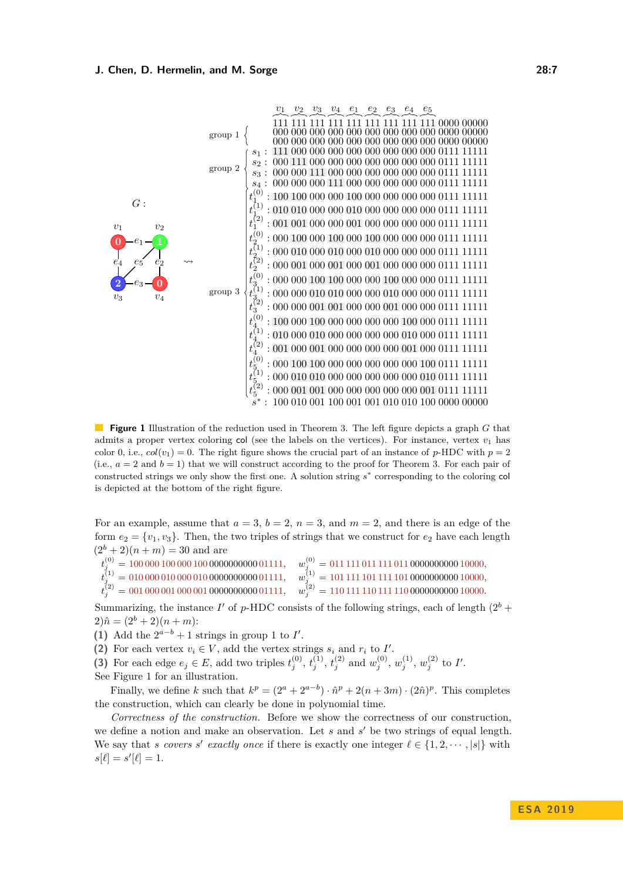<span id="page-6-0"></span>

**Figure 1** Illustration of the reduction used in Theorem [3.](#page-4-0) The left figure depicts a graph *G* that admits a proper vertex coloring col (see the labels on the vertices). For instance, vertex  $v_1$  has color 0, i.e.,  $col(v_1) = 0$ . The right figure shows the crucial part of an instance of *p*-HDC with  $p = 2$ (i.e.,  $a = 2$  and  $b = 1$ ) that we will construct according to the proof for Theorem [3.](#page-4-0) For each pair of constructed strings we only show the first one. A solution string  $s^*$  corresponding to the coloring col is depicted at the bottom of the right figure.

For an example, assume that  $a = 3$ ,  $b = 2$ ,  $n = 3$ , and  $m = 2$ , and there is an edge of the form  $e_2 = \{v_1, v_3\}$ . Then, the two triples of strings that we construct for  $e_2$  have each length  $(2^{b} + 2)(n + m) = 30$  and are

 $t_j^{(0)} = 100\,000\,100\,000\,100\,000000000\,01111, \quad w_j^{(0)} = 011\,111\,011\,111\,011\,000000000\,10000,$  $t^{(1)}_j = 010\,000\,010\,000\,010\,000000000\,01111, \quad w^{(1)}_j = 101\,111\,101\,111\,101\,000000000\,10000,$  $t^{(2)}_j = 001\,000\,001\,000\,001\,000000000\,01111, \quad w^{(2)}_j = 110\,111\,110\,111\,110\,000000000\,10000.$ 

Summarizing, the instance  $I'$  of p-HDC consists of the following strings, each of length  $(2^b +$  $(2)\hat{n} = (2^b + 2)(n + m)$ :

(1) Add the  $2^{a-b} + 1$  strings in group 1 to *I'*.

(2) For each vertex  $v_i \in V$ , add the vertex strings  $s_i$  and  $r_i$  to  $I'$ .

(3) For each edge  $e_j \in E$ , add two triples  $t_j^{(0)}$ ,  $t_j^{(1)}$ ,  $t_j^{(2)}$  and  $w_j^{(0)}$ ,  $w_j^{(1)}$ ,  $w_j^{(2)}$  to I'.

See Figure [1](#page-6-0) for an illustration.

Finally, we define *k* such that  $k^p = (2^a + 2^{a-b}) \cdot \hat{n}^p + 2(n+3m) \cdot (2\hat{n})^p$ . This completes the construction, which can clearly be done in polynomial time.

<span id="page-6-1"></span>*Correctness of the construction.* Before we show the correctness of our construction, we define a notion and make an observation. Let  $s$  and  $s'$  be two strings of equal length. We say that *s* covers *s'* exactly once if there is exactly one integer  $\ell \in \{1, 2, \dots, |s|\}$  with  $s[\ell] = s'[\ell] = 1.$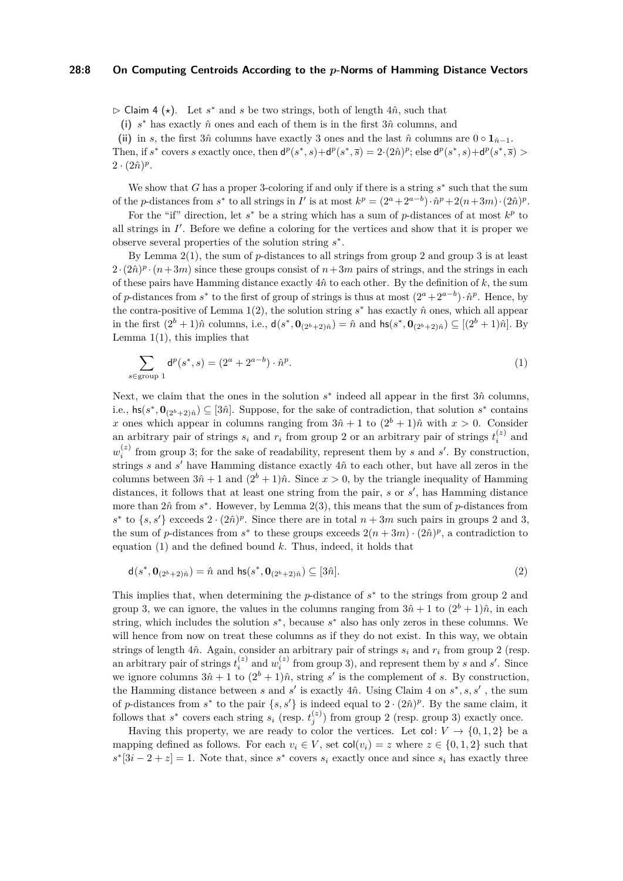#### **28:8 On Computing Centroids According to the** *p***-Norms of Hamming Distance Vectors**

 $\triangleright$  Claim 4 ( $\star$ ). Let  $s^*$  and  $s$  be two strings, both of length 4 $\hat{n}$ , such that

(i)  $s^*$  has exactly  $\hat{n}$  ones and each of them is in the first  $3\hat{n}$  columns, and

(ii) in *s*, the first  $3\hat{n}$  columns have exactly 3 ones and the last  $\hat{n}$  columns are  $0 \circ \mathbf{1}_{\hat{n}-1}$ .

Then, if  $s^*$  covers s exactly once, then  $d^p(s^*, s) + d^p(s^*, \overline{s}) = 2 \cdot (2\hat{n})^p$ ; else  $d^p(s^*, s) + d^p(s^*, \overline{s}) >$  $2 \cdot (2\hat{n})^p$ .

We show that  $G$  has a proper 3-coloring if and only if there is a string  $s^*$  such that the sum of the *p*-distances from  $s^*$  to all strings in *I'* is at most  $k^p = (2^a + 2^{a-b}) \cdot \hat{n}^p + 2(n+3m) \cdot (2\hat{n})^p$ .

For the "if" direction, let  $s^*$  be a string which has a sum of  $p$ -distances of at most  $k^p$  to all strings in  $I'$ . Before we define a coloring for the vertices and show that it is proper we observe several properties of the solution string *s* ∗ .

By Lemma [2](#page-4-3)[\(1\)](#page-4-4), the sum of *p*-distances to all strings from group 2 and group 3 is at least  $2 \cdot (2\hat{n})^p \cdot (n+3m)$  since these groups consist of  $n+3m$  pairs of strings, and the strings in each of these pairs have Hamming distance exactly  $4\hat{n}$  to each other. By the definition of  $k$ , the sum of *p*-distances from *s*<sup>\*</sup> to the first of group of strings is thus at most  $(2^a + 2^{a-b}) \cdot \hat{n}^p$ . Hence, by the contra-positive of Lemma [1](#page-4-1)[\(2\)](#page-4-5), the solution string  $s^*$  has exactly  $\hat{n}$  ones, which all appear in the first  $(2^b + 1)\hat{n}$  columns, i.e.,  $d(s^*, \mathbf{0}_{(2^b+2)\hat{n}}) = \hat{n}$  and  $\mathsf{hs}(s^*, \mathbf{0}_{(2^b+2)\hat{n}}) \subseteq [(2^b + 1)\hat{n}]$ . By Lemma  $1(1)$  $1(1)$ , this implies that

<span id="page-7-0"></span>
$$
\sum_{s \in \text{group } 1} \mathsf{d}^p(s^*, s) = (2^a + 2^{a-b}) \cdot \hat{n}^p. \tag{1}
$$

Next, we claim that the ones in the solution  $s$ <sup>\*</sup> indeed all appear in the first 3*n*̂ columns, i.e.,  $\mathsf{hs}(s^*, \mathbf{0}_{(2^b+2)\hat{n}}) \subseteq [\hat{3}\hat{n}]$ . Suppose, for the sake of contradiction, that solution  $s^*$  contains *x* ones which appear in columns ranging from  $3\hat{n} + 1$  to  $(2^b + 1)\hat{n}$  with  $x > 0$ . Consider an arbitrary pair of strings  $s_i$  and  $r_i$  from group 2 or an arbitrary pair of strings  $t_i^{(z)}$  and  $w_i^{(z)}$  from group 3; for the sake of readability, represent them by *s* and *s*'. By construction, strings *s* and *s'* have Hamming distance exactly  $4\hat{n}$  to each other, but have all zeros in the columns between  $3\hat{n}+1$  and  $(2^b+1)\hat{n}$ . Since  $x>0$ , by the triangle inequality of Hamming distances, it follows that at least one string from the pair, *s* or *s'*, has Hamming distance more than  $2\hat{n}$  from  $s^*$ . However, by Lemma  $2(3)$  $2(3)$ , this means that the sum of  $p$ -distances from  $s^*$  to  $\{s, s'\}$  exceeds  $2 \cdot (2\hat{n})^p$ . Since there are in total  $n + 3m$  such pairs in groups 2 and 3, the sum of *p*-distances from  $s^*$  to these groups exceeds  $2(n+3m) \cdot (2\hat{n})^p$ , a contradiction to equation [\(1\)](#page-7-0) and the defined bound *k*. Thus, indeed, it holds that

$$
\mathsf{d}(s^*, \mathbf{0}_{(2^b+2)\hat{n}}) = \hat{n} \text{ and } \mathsf{hs}(s^*, \mathbf{0}_{(2^b+2)\hat{n}}) \subseteq [3\hat{n}].\tag{2}
$$

This implies that, when determining the  $p$ -distance of  $s^*$  to the strings from group 2 and group 3, we can ignore, the values in the columns ranging from  $3\hat{n}+1$  to  $(2^b+1)\hat{n}$ , in each string, which includes the solution  $s^*$ , because  $s^*$  also has only zeros in these columns. We will hence from now on treat these columns as if they do not exist. In this way, we obtain strings of length  $4\hat{n}$ . Again, consider an arbitrary pair of strings  $s_i$  and  $r_i$  from group 2 (resp. an arbitrary pair of strings  $t_i^{(z)}$  and  $w_i^{(z)}$  from group 3), and represent them by *s* and *s'*. Since we ignore columns  $3\hat{n} + 1$  to  $(2^b + 1)\hat{n}$ , string *s'* is the complement of *s*. By construction, the Hamming distance between *s* and *s*' is exactly [4](#page-6-1) $\hat{n}$ . Using Claim 4 on  $s^*$ ,  $s$ ,  $s'$ , the sum of *p*-distances from  $s^*$  to the pair  $\{s, s'\}$  is indeed equal to  $2 \cdot (2\hat{n})^p$ . By the same claim, it follows that  $s^*$  covers each string  $s_i$  (resp.  $t_j^{(z)}$ ) from group 2 (resp. group 3) exactly once.

Having this property, we are ready to color the vertices. Let  $col: V \to \{0, 1, 2\}$  be a mapping defined as follows. For each  $v_i \in V$ , set  $col(v_i) = z$  where  $z \in \{0, 1, 2\}$  such that  $s^*[3i-2+z] = 1$ . Note that, since  $s^*$  covers  $s_i$  exactly once and since  $s_i$  has exactly three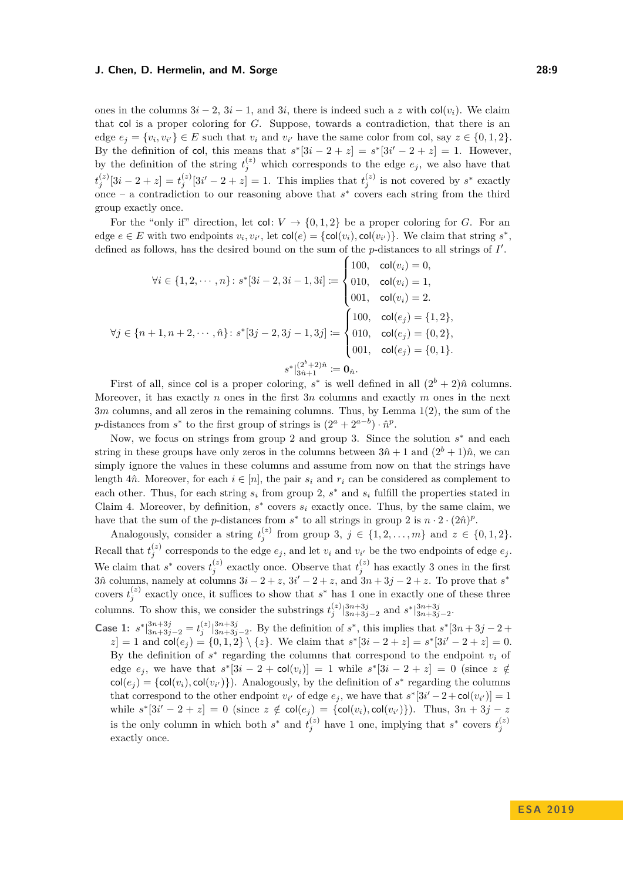ones in the columns  $3i - 2$ ,  $3i - 1$ , and  $3i$ , there is indeed such a *z* with col(*v<sub>i</sub>*). We claim that col is a proper coloring for *G*. Suppose, towards a contradiction, that there is an edge  $e_j = \{v_i, v_{i'}\} \in E$  such that  $v_i$  and  $v_{i'}$  have the same color from col, say  $z \in \{0, 1, 2\}$ . By the definition of col, this means that  $s^*[3i - 2 + z] = s^*[3i' - 2 + z] = 1$ . However, by the definition of the string  $t_j^{(z)}$  which corresponds to the edge  $e_j$ , we also have that  $t_j^{(z)}[3i-2+z] = t_j^{(z)}[3i'-2+z] = 1$ . This implies that  $t_j^{(z)}$  is not covered by  $s^*$  exactly once – a contradiction to our reasoning above that  $s^*$  covers each string from the third group exactly once.

For the "only if" direction, let  $col: V \to \{0, 1, 2\}$  be a proper coloring for *G*. For an edge  $e \in E$  with two endpoints  $v_i, v_{i'}$ , let  $col(e) = \{col(v_i), col(v_{i'})\}$ . We claim that string  $s^*$ , defined as follows, has the desired bound on the sum of the *p*-distances to all strings of *I'*.

$$
\forall i \in \{1, 2, \dots, n\} : s^*[3i - 2, 3i - 1, 3i] := \begin{cases} 100, & \text{col}(v_i) = 0, \\ 010, & \text{col}(v_i) = 1, \\ 001, & \text{col}(v_i) = 2. \end{cases}
$$

$$
\forall j \in \{n + 1, n + 2, \dots, \hat{n}\} : s^*[3j - 2, 3j - 1, 3j] := \begin{cases} 100, & \text{col}(e_j) = \{1, 2\}, \\ 010, & \text{col}(e_j) = \{0, 2\}, \\ 001, & \text{col}(e_j) = \{0, 1\}. \end{cases}
$$

$$
s^*|_{3\hat{n}+1}^{(2^o+2)\hat{n}} \coloneqq \mathbf{0}_{\hat{n}}.
$$

First of all, since col is a proper coloring,  $s^*$  is well defined in all  $(2^b + 2)\hat{n}$  columns. Moreover, it has exactly *n* ones in the first 3*n* columns and exactly *m* ones in the next 3*m* columns, and all zeros in the remaining columns. Thus, by Lemma [1\(](#page-4-1)[2\)](#page-4-5), the sum of the p-distances from  $s^*$  to the first group of strings is  $(2^a + 2^{a-b}) \cdot \hat{n}^p$ .

Now, we focus on strings from group 2 and group 3. Since the solution  $s^*$  and each string in these groups have only zeros in the columns between  $3\hat{n}+1$  and  $(2^b+1)\hat{n}$ , we can simply ignore the values in these columns and assume from now on that the strings have length 4 $\hat{n}$ . Moreover, for each  $i \in [n]$ , the pair  $s_i$  and  $r_i$  can be considered as complement to each other. Thus, for each string  $s_i$  from group 2,  $s^*$  and  $s_i$  fulfill the properties stated in Claim [4.](#page-6-1) Moreover, by definition,  $s^*$  covers  $s_i$  exactly once. Thus, by the same claim, we have that the sum of the *p*-distances from  $s^*$  to all strings in group 2 is  $n \cdot 2 \cdot (2\hat{n})^p$ .

Analogously, consider a string  $t_j^{(z)}$  from group 3,  $j \in \{1, 2, ..., m\}$  and  $z \in \{0, 1, 2\}$ . Recall that  $t_j^{(z)}$  corresponds to the edge  $e_j$ , and let  $v_i$  and  $v_{i'}$  be the two endpoints of edge  $e_j$ . We claim that  $s^*$  covers  $t_j^{(z)}$  exactly once. Observe that  $t_j^{(z)}$  has exactly 3 ones in the first  $3\hat{n}$  columns, namely at columns  $3\hat{i} - 2 + z$ ,  $3\hat{i}' - 2 + z$ , and  $3n + 3\hat{j} - 2 + z$ . To prove that  $s^*$ covers  $t_j^{(z)}$  exactly once, it suffices to show that  $s^*$  has 1 one in exactly one of these three columns. To show this, we consider the substrings  $t_j^{(z)}\vert_{3n+3j-2}^{3n+3j}$  and  $s^*\vert_{3n+3j-2}^{3n+3j}$ .

**Case 1:**  $s^*|3n+3j-2|t_j|^{3n+3j-2}$ . By the definition of  $s^*$ , this implies that  $s^*[3n+3j-2+1]$  $z = 1$  and  $col(e_j) = \{0, 1, 2\} \setminus \{z\}$ . We claim that  $s^*[3i - 2 + z] = s^*[3i' - 2 + z] = 0$ . By the definition of  $s^*$  regarding the columns that correspond to the endpoint  $v_i$  of edge  $e_j$ , we have that  $s^*[3i - 2 + \text{col}(v_i)] = 1$  while  $s^*[3i - 2 + z] = 0$  (since  $z \notin$  $col(e_j) = \{col(v_i), col(v_{i'})\}$ . Analogously, by the definition of  $s^*$  regarding the columns that correspond to the other endpoint  $v_i$  of edge  $e_j$ , we have that  $s^*[3i'-2+\text{col}(v_{i'})]=1$ while  $s^*[3i'-2+z] = 0$  (since  $z \notin \text{col}(e_j) = {\text{col}(v_i), \text{col}(v_{i'})}.$  Thus,  $3n + 3j - z$ is the only column in which both  $s^*$  and  $t_j^{(z)}$  have 1 one, implying that  $s^*$  covers  $t_j^{(z)}$ exactly once.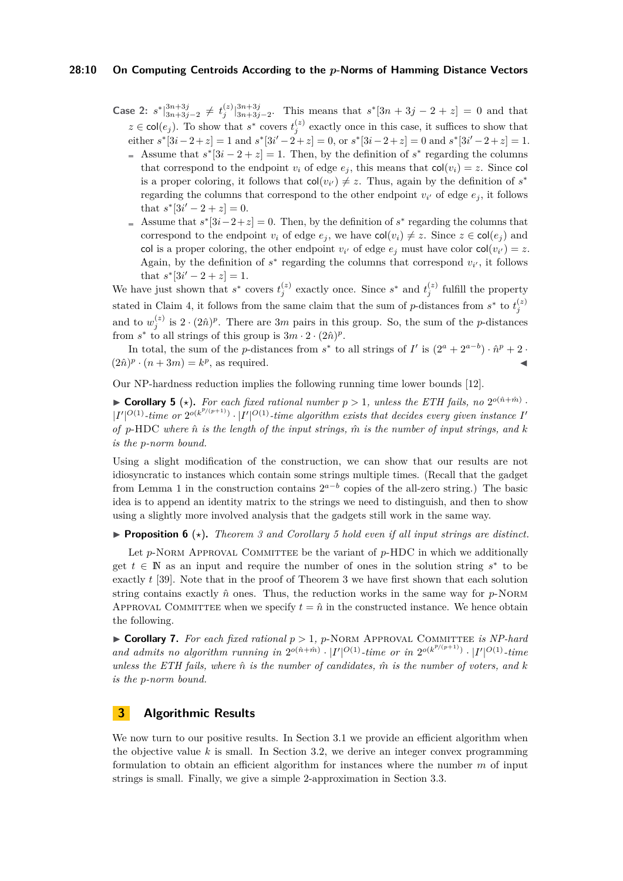#### **28:10 On Computing Centroids According to the** *p***-Norms of Hamming Distance Vectors**

**Case 2:**  $s^*\vert_{3n+3j-2}^{3n+3j} \neq t_j^{(z)}\vert_{3n+3j-2}^{3n+3j}$ . This means that  $s^*[3n+3j-2+z] = 0$  and that  $z \in \text{col}(e_j)$ . To show that  $s^*$  covers  $t_j^{(z)}$  exactly once in this case, it suffices to show that  $\text{either } s^*[3i-2+z] = 1 \text{ and } s^*[3i'-2+z] = 0, \text{ or } s^*[3i-2+z] = 0 \text{ and } s^*[3i'-2+z] = 1.$ 

- Assume that  $s^*[3i 2 + z] = 1$ . Then, by the definition of  $s^*$  regarding the columns that correspond to the endpoint  $v_i$  of edge  $e_j$ , this means that  $col(v_i) = z$ . Since col is a proper coloring, it follows that  $col(v_{i'}) \neq z$ . Thus, again by the definition of  $s^*$ regarding the columns that correspond to the other endpoint  $v_i$  of edge  $e_j$ , it follows that  $s^*[3i'-2+z]=0$ .
- Assume that  $s^*[3i-2+z] = 0$ . Then, by the definition of  $s^*$  regarding the columns that correspond to the endpoint  $v_i$  of edge  $e_j$ , we have  $col(v_i) \neq z$ . Since  $z \in col(e_j)$  and col is a proper coloring, the other endpoint  $v_i$  of edge  $e_j$  must have color  $col(v_{i'}) = z$ . Again, by the definition of  $s^*$  regarding the columns that correspond  $v_{i'}$ , it follows that  $s^*[3i'-2+z]=1$ .

We have just shown that  $s^*$  covers  $t_j^{(z)}$  exactly once. Since  $s^*$  and  $t_j^{(z)}$  fulfill the property stated in Claim [4,](#page-6-1) it follows from the same claim that the sum of *p*-distances from  $s^*$  to  $t_j^{(z)}$ and to  $w_j^{(z)}$  is  $2 \cdot (2\hat{n})^p$ . There are 3*m* pairs in this group. So, the sum of the *p*-distances from  $s^*$  to all strings of this group is  $3m \cdot 2 \cdot (2\hat{n})^p$ .

In total, the sum of the *p*-distances from  $s^*$  to all strings of *I'* is  $(2^a + 2^{a-b}) \cdot \hat{n}^p + 2 \cdot$  $(2\hat{n})^p \cdot (n+3m) = k^p$ , as required.

Our NP-hardness reduction implies the following running time lower bounds [\[12\]](#page-13-7).

<span id="page-9-2"></span>**Corollary 5** ( $\star$ ). For each fixed rational number  $p > 1$ , unless the ETH fails, no  $2^{o(\hat{n} + \hat{m})}$ .  $|I'|^{O(1)}$ -time or  $2^{o(k^{p/(p+1)})} \cdot |I'|^{O(1)}$ -time algorithm exists that decides every given instance *I' of p*-HDC *where n*ˆ *is the length of the input strings, m*ˆ *is the number of input strings, and k is the p-norm bound.*

Using a slight modification of the construction, we can show that our results are not idiosyncratic to instances which contain some strings multiple times. (Recall that the gadget from Lemma [1](#page-4-1) in the construction contains  $2^{a-b}$  copies of the all-zero string.) The basic idea is to append an identity matrix to the strings we need to distinguish, and then to show using a slightly more involved analysis that the gadgets still work in the same way.

<span id="page-9-0"></span>**Proposition 6** ( $\star$ ). Theorem [3](#page-4-0) and Corollary [5](#page-9-2) hold even if all input strings are distinct.

Let  $p$ -Norm Approval Committee be the variant of  $p$ -HDC in which we additionally get  $t \in \mathbb{N}$  as an input and require the number of ones in the solution string  $s^*$  to be exactly *t* [\[39\]](#page-15-1). Note that in the proof of Theorem [3](#page-4-0) we have first shown that each solution string contains exactly  $\hat{n}$  ones. Thus, the reduction works in the same way for  $p$ -Norm APPROVAL COMMITTEE when we specify  $t = \hat{n}$  in the constructed instance. We hence obtain the following.

<span id="page-9-1"></span> $\triangleright$  **Corollary 7.** For each fixed rational  $p > 1$ , p-NORM APPROVAL COMMITTEE *is NP-hard* and admits no algorithm running in  $2^{o(\hat{n}+\hat{m})} \cdot |I'|^{O(1)}$ -time or in  $2^{o(k^{p/(p+1)})} \cdot |I'|^{O(1)}$ -time *unless the ETH fails, where*  $\hat{n}$  *is the number of candidates,*  $\hat{m}$  *is the number of voters, and*  $k$ *is the p-norm bound.*

# **3 Algorithmic Results**

We now turn to our positive results. In Section [3.1](#page-10-1) we provide an efficient algorithm when the objective value  $k$  is small. In Section [3.2,](#page-11-0) we derive an integer convex programming formulation to obtain an efficient algorithm for instances where the number *m* of input strings is small. Finally, we give a simple 2-approximation in Section [3.3.](#page-12-2)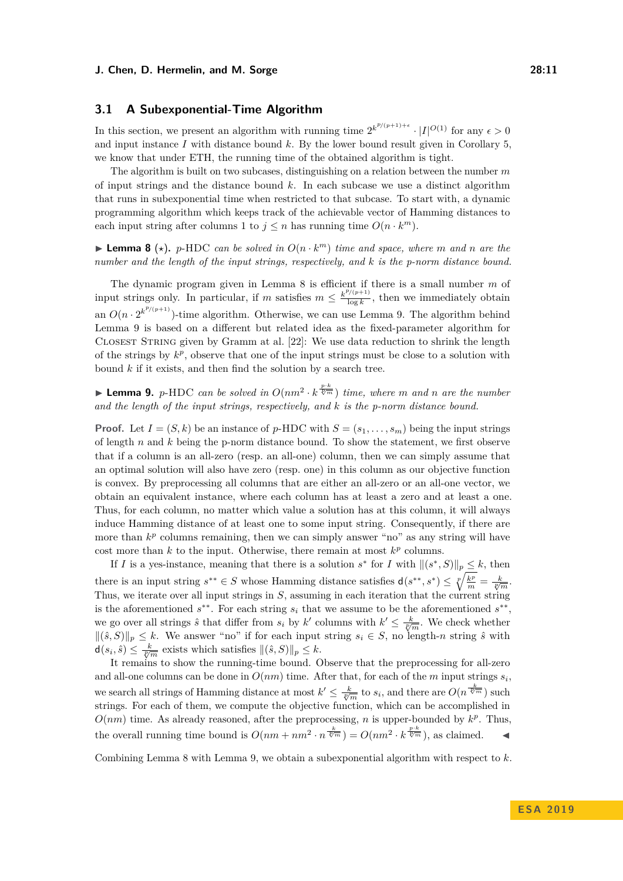# <span id="page-10-1"></span>**3.1 A Subexponential-Time Algorithm**

In this section, we present an algorithm with running time  $2^{k^{p/(p+1)+\epsilon}} \cdot |I|^{O(1)}$  for any  $\epsilon > 0$ and input instance  $I$  with distance bound  $k$ . By the lower bound result given in Corollary 5. we know that under ETH, the running time of the obtained algorithm is tight.

The algorithm is built on two subcases, distinguishing on a relation between the number *m* of input strings and the distance bound *k*. In each subcase we use a distinct algorithm that runs in subexponential time when restricted to that subcase. To start with, a dynamic programming algorithm which keeps track of the achievable vector of Hamming distances to each input string after columns 1 to  $j \leq n$  has running time  $O(n \cdot k^m)$ .

<span id="page-10-2"></span>**Example 10.** *p***-HDC** *can be solved in*  $O(n \cdot k^m)$  *time and space, where m and n are the number and the length of the input strings, respectively, and k is the p-norm distance bound.*

The dynamic program given in Lemma [8](#page-10-2) is efficient if there is a small number *m* of input strings only. In particular, if *m* satisfies  $m \leq \frac{k^{p/(p+1)}}{\log k}$  $\frac{\sqrt{(p+1)}}{\log k}$ , then we immediately obtain an  $O(n \cdot 2^{k^{p/(p+1)}})$ -time algorithm. Otherwise, we can use Lemma [9.](#page-10-3) The algorithm behind Lemma [9](#page-10-3) is based on a different but related idea as the fixed-parameter algorithm for Closest String given by Gramm at al. [\[22\]](#page-14-16): We use data reduction to shrink the length of the strings by  $k^p$ , observe that one of the input strings must be close to a solution with bound *k* if it exists, and then find the solution by a search tree.

<span id="page-10-3"></span>**Example 10.** *p*-HDC *can be solved in*  $O(nm^2 \cdot k^{\frac{p \cdot k}{\sqrt[p]{m}}}$  *time, where m and n are the number and the length of the input strings, respectively, and k is the p-norm distance bound.*

**Proof.** Let  $I = (S, k)$  be an instance of *p*-HDC with  $S = (s_1, \ldots, s_m)$  being the input strings of length *n* and *k* being the p-norm distance bound. To show the statement, we first observe that if a column is an all-zero (resp. an all-one) column, then we can simply assume that an optimal solution will also have zero (resp. one) in this column as our objective function is convex. By preprocessing all columns that are either an all-zero or an all-one vector, we obtain an equivalent instance, where each column has at least a zero and at least a one. Thus, for each column, no matter which value a solution has at this column, it will always induce Hamming distance of at least one to some input string. Consequently, if there are more than  $k^p$  columns remaining, then we can simply answer "no" as any string will have cost more than  $k$  to the input. Otherwise, there remain at most  $k^p$  columns.

If *I* is a yes-instance, meaning that there is a solution  $s^*$  for *I* with  $\|(s^*, S)\|_p \leq k$ , then there is an input string  $s^{**} \in S$  whose Hamming distance satisfies  $d(s^{**}, s^*) \leq \sqrt[p]{\frac{k^p}{m}} = \frac{k}{\sqrt[p]{m}}$ . Thus, we iterate over all input strings in *S*, assuming in each iteration that the current string is the aforementioned  $s^{**}$ . For each string  $s_i$  that we assume to be the aforementioned  $s^{**}$ , we go over all strings  $\hat{s}$  that differ from  $s_i$  by  $k'$  columns with  $k' \leq \frac{k}{\sqrt[p]{m}}$ . We check whether  $\|(\hat{s}, S)\|_p \leq k$ . We answer "no" if for each input string  $s_i \in S$ , no length-*n* string  $\hat{s}$  with  $d(s_i, \hat{s}) \leq \frac{k}{\sqrt[n]{m}}$  exists which satisfies  $\|(\hat{s}, S)\|_p \leq k$ .

It remains to show the running-time bound. Observe that the preprocessing for all-zero and all-one columns can be done in  $O(nm)$  time. After that, for each of the *m* input strings  $s_i$ , we search all strings of Hamming distance at most  $k' \leq \frac{k}{\sqrt[p]{m}}$  to  $s_i$ , and there are  $O(n^{\frac{k}{\sqrt[p]{m}}})$  such strings. For each of them, we compute the objective function, which can be accomplished in  $O(nm)$  time. As already reasoned, after the preprocessing, *n* is upper-bounded by  $k^p$ . Thus, the overall running time bound is  $O(nm + nm^2 \cdot n^{\frac{k}{\ell m}}) = O(nm^2 \cdot k^{\frac{p \cdot k}{\ell m}})$ , as claimed.

<span id="page-10-0"></span>Combining Lemma [8](#page-10-2) with Lemma [9,](#page-10-3) we obtain a subexponential algorithm with respect to *k*.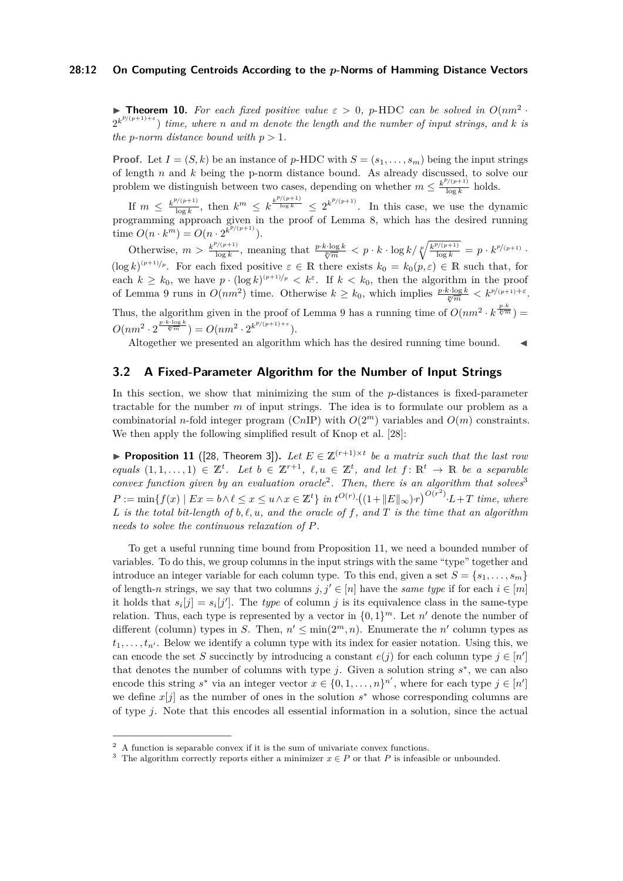#### **28:12 On Computing Centroids According to the** *p***-Norms of Hamming Distance Vectors**

**Theorem 10.** For each fixed positive value  $\varepsilon > 0$ , p-HDC can be solved in  $O(nm^2 - 1)$  $2^{k^{p/(p+1)+\varepsilon}}$  *time, where n and m denote the length and the number of input strings, and k is the p*-norm distance bound with  $p > 1$ .

**Proof.** Let  $I = (S, k)$  be an instance of *p*-HDC with  $S = (s_1, \ldots, s_m)$  being the input strings of length *n* and *k* being the p-norm distance bound. As already discussed, to solve our problem we distinguish between two cases, depending on whether  $m \leq \frac{k^{p/(p+1)}}{\log k}$  $\frac{\log k}{\log k}$  holds.

If  $m \leq \frac{k^{p/(p+1)}}{\log k}$  $\frac{\log k}{\log k}$ , then  $k^m \leq k^{\frac{k^{p/(p+1)}}{\log k}} \leq 2^{k^{p/(p+1)}}$ . In this case, we use the dynamic programming approach given in the proof of Lemma [8,](#page-10-2) which has the desired running  $\lim_{m \to \infty} O(n \cdot k^m) = O(n \cdot 2^{k^p/(p+1)})$ .

Otherwise,  $m > \frac{k^{p/(p+1)}}{\log k}$  $\frac{p}{\log k}$ , meaning that  $\frac{p \cdot k \cdot \log k}{\sqrt[p]{m}} < p \cdot k \cdot \log k / \sqrt[p]{\frac{k^{p/(p+1)}}{\log k}} = p \cdot k^{p/(p+1)}$ .  $(\log k)^{(p+1)/p}$ . For each fixed positive  $\varepsilon \in \mathbb{R}$  there exists  $k_0 = k_0(p, \varepsilon) \in \mathbb{R}$  such that, for each  $k \geq k_0$ , we have  $p \cdot (\log k)^{(p+1)/p} < k^{\varepsilon}$ . If  $k < k_0$ , then the algorithm in the proof of Lemma [9](#page-10-3) runs in  $O(nm^2)$  time. Otherwise  $k \geq k_0$ , which implies  $\frac{p \cdot k \cdot \log k}{\sqrt[p]{m}} < k^{p/(p+1)+\varepsilon}$ . Thus, the algorithm given in the proof of Lemma [9](#page-10-3) has a running time of  $O(nm^2 \cdot k^{\frac{p \cdot k}{\sqrt[p]{m}}} ) =$  $O(nm^2 \cdot 2^{\frac{p \cdot k \cdot \log k}{\sqrt[p]{m}}} ) = O(nm^2 \cdot 2^{k^{p/(p+1)+\varepsilon}}).$ 

Altogether we presented an algorithm which has the desired running time bound.

## <span id="page-11-0"></span>**3.2 A Fixed-Parameter Algorithm for the Number of Input Strings**

In this section, we show that minimizing the sum of the *p*-distances is fixed-parameter tractable for the number *m* of input strings. The idea is to formulate our problem as a combinatorial *n*-fold integer program (C*n*IP) with  $O(2<sup>m</sup>)$  variables and  $O(m)$  constraints. We then apply the following simplified result of Knop et al. [\[28\]](#page-14-13):

<span id="page-11-3"></span>▶ **Proposition 11** ([\[28,](#page-14-13) Theorem 3]). Let  $E \in \mathbb{Z}^{(r+1)\times t}$  be a matrix such that the last row  $\text{equals } (1, 1, \ldots, 1) \in \mathbb{Z}^t$ . Let  $b \in \mathbb{Z}^{r+1}$ ,  $\ell, u \in \mathbb{Z}^t$ , and let  $f: \mathbb{R}^t \to \mathbb{R}$  be a separable *convex function given by an evaluation oracle*<sup>[2](#page-11-1)</sup>. Then, there is an algorithm that solves<sup>[3](#page-11-2)</sup>  $P := \min\{f(x) | Ex = b \land \ell \leq x \leq u \land x \in \mathbb{Z}^t\}$  in  $t^{O(r)} \cdot ((1 + ||E||_{\infty}) \cdot r)^{O(r^2)} \cdot L + T$  time, where *L* is the total bit-length of  $b, l, u$ , and the oracle of f, and T is the time that an algorithm *needs to solve the continuous relaxation of P.*

To get a useful running time bound from Proposition [11,](#page-11-3) we need a bounded number of variables. To do this, we group columns in the input strings with the same "type" together and introduce an integer variable for each column type. To this end, given a set  $S = \{s_1, \ldots, s_m\}$ of length-*n* strings, we say that two columns  $j, j' \in [n]$  have the *same type* if for each  $i \in [m]$ it holds that  $s_i[j] = s_i[j']$ . The *type* of column *j* is its equivalence class in the same-type relation. Thus, each type is represented by a vector in  $\{0,1\}^m$ . Let  $n'$  denote the number of different (column) types in *S*. Then,  $n' \le \min(2^m, n)$ . Enumerate the *n'* column types as  $t_1, \ldots, t_{n'}$ . Below we identify a column type with its index for easier notation. Using this, we can encode the set *S* succinctly by introducing a constant  $e(j)$  for each column type  $j \in [n']$ that denotes the number of columns with type  $j$ . Given a solution string  $s^*$ , we can also encode this string  $s^*$  via an integer vector  $x \in \{0, 1, ..., n\}^{n'}$ , where for each type  $j \in [n']$ we define  $x[j]$  as the number of ones in the solution  $s^*$  whose corresponding columns are of type *j*. Note that this encodes all essential information in a solution, since the actual

<span id="page-11-1"></span><sup>2</sup> A function is separable convex if it is the sum of univariate convex functions.

<span id="page-11-2"></span><sup>&</sup>lt;sup>3</sup> The algorithm correctly reports either a minimizer  $x \in P$  or that *P* is infeasible or unbounded.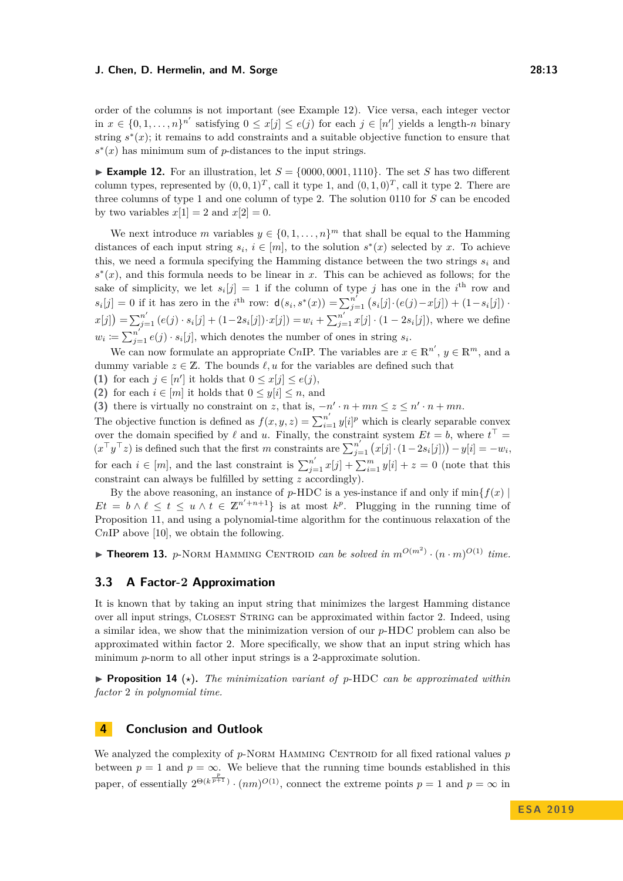order of the columns is not important (see Example [12\)](#page-12-3). Vice versa, each integer vector in  $x \in \{0, 1, \ldots, n\}^{n'}$  satisfying  $0 \leq x[j] \leq e(j)$  for each  $j \in [n']$  yields a length-*n* binary string  $s^*(x)$ ; it remains to add constraints and a suitable objective function to ensure that  $s^*(x)$  has minimum sum of *p*-distances to the input strings.

<span id="page-12-3"></span>**Example 12.** For an illustration, let  $S = \{0000, 0001, 1110\}$ . The set *S* has two different column types, represented by  $(0,0,1)^T$ , call it type 1, and  $(0,1,0)^T$ , call it type 2. There are three columns of type 1 and one column of type 2. The solution 0110 for *S* can be encoded by two variables  $x[1] = 2$  and  $x[2] = 0$ .

We next introduce *m* variables  $y \in \{0, 1, \ldots, n\}^m$  that shall be equal to the Hamming distances of each input string  $s_i$ ,  $i \in [m]$ , to the solution  $s^*(x)$  selected by *x*. To achieve this, we need a formula specifying the Hamming distance between the two strings *s<sup>i</sup>* and  $s^*(x)$ , and this formula needs to be linear in *x*. This can be achieved as follows; for the sake of simplicity, we let  $s_i[j] = 1$  if the column of type *j* has one in the *i*<sup>th</sup> row and  $s_i[j] = 0$  if it has zero in the *i*<sup>th</sup> row:  $d(s_i, s^*(x)) = \sum_{j=1}^{n'} (s_i[j] \cdot (e(j) - x[j]) + (1 - s_i[j])$ .  $x[j] = \sum_{j=1}^{n'} (e(j) \cdot s_i[j] + (1-2s_i[j]) \cdot x[j]) = w_i + \sum_{j=1}^{n'} x[j] \cdot (1-2s_i[j]),$  where we define  $w_i := \sum_{j=1}^{n'} e(j) \cdot s_i[j]$ , which denotes the number of ones in string  $s_i$ .

We can now formulate an appropriate CnIP. The variables are  $x \in \mathbb{R}^{n'}$ ,  $y \in \mathbb{R}^{m}$ , and a dummy variable  $z \in \mathbb{Z}$ . The bounds  $\ell, u$  for the variables are defined such that

(1) for each  $j \in [n']$  it holds that  $0 \leq x[j] \leq e(j)$ ,

**(2)** for each  $i \in [m]$  it holds that  $0 \leq y[i] \leq n$ , and

**(3)** there is virtually no constraint on *z*, that is,  $-n' \cdot n + mn \leq z \leq n' \cdot n + mn$ .

The objective function is defined as  $f(x, y, z) = \sum_{i=1}^{n'} y[i]^p$  which is clearly separable convex over the domain specified by  $\ell$  and  $u$ . Finally, the constraint system  $Et = b$ , where  $t^{\top} =$  $(x^{\top}y^{\top}z)$  is defined such that the first *m* constraints are  $\sum_{j=1}^{n'} (x[j] \cdot (1-2s_i[j])) - y[i] = -w_i$ , for each  $i \in [m]$ , and the last constraint is  $\sum_{j=1}^{n'} x[j] + \sum_{i=1}^{m} y[i] + z = 0$  (note that this constraint can always be fulfilled by setting *z* accordingly).

By the above reasoning, an instance of  $p$ -HDC is a yes-instance if and only if  $\min\{f(x)\}\$  $Et = b \wedge \ell \leq t \leq u \wedge t \in \mathbb{Z}^{n'+n+1}$  is at most  $k^p$ . Plugging in the running time of Proposition [11,](#page-11-3) and using a polynomial-time algorithm for the continuous relaxation of the C*n*IP above [\[10\]](#page-13-12), we obtain the following.

<span id="page-12-0"></span>**Fineorem 13.** *p*-NORM HAMMING CENTROID *can be solved in*  $m^{O(m^2)} \cdot (n \cdot m)^{O(1)}$  *time.* 

# <span id="page-12-2"></span>**3.3 A Factor-2 Approximation**

It is known that by taking an input string that minimizes the largest Hamming distance over all input strings, Closest String can be approximated within factor 2. Indeed, using a similar idea, we show that the minimization version of our *p*-HDC problem can also be approximated within factor 2. More specifically, we show that an input string which has minimum *p*-norm to all other input strings is a 2-approximate solution.

<span id="page-12-1"></span>**Proposition 14** ( $\star$ ). The minimization variant of p-HDC can be approximated within *factor* 2 *in polynomial time.*

## **4 Conclusion and Outlook**

We analyzed the complexity of p-NORM HAMMING CENTROID for all fixed rational values p between  $p = 1$  and  $p = \infty$ . We believe that the running time bounds established in this paper, of essentially  $2^{\Theta(k^{\frac{p}{p+1}})} \cdot (nm)^{O(1)}$ , connect the extreme points  $p = 1$  and  $p = \infty$  in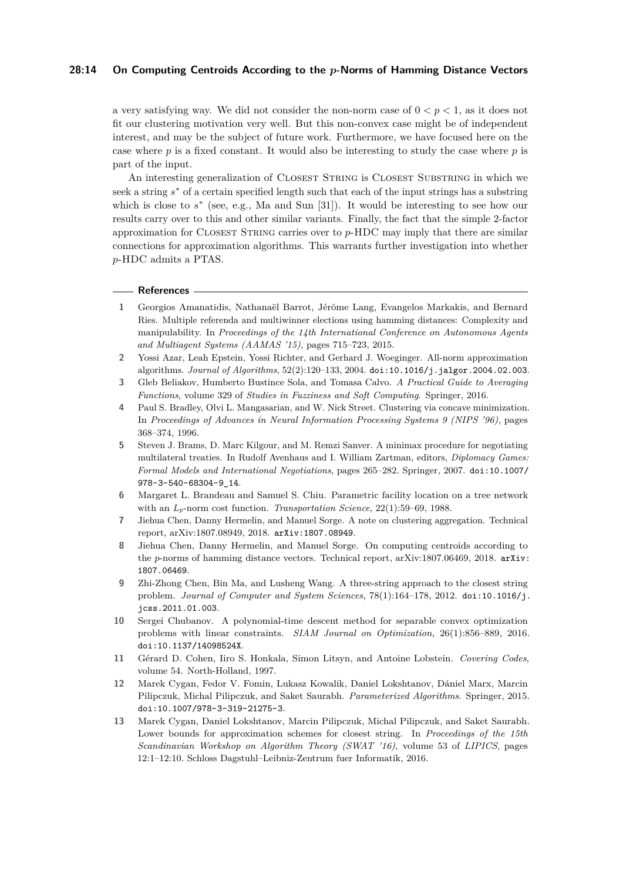#### **28:14 On Computing Centroids According to the** *p***-Norms of Hamming Distance Vectors**

a very satisfying way. We did not consider the non-norm case of  $0 < p < 1$ , as it does not fit our clustering motivation very well. But this non-convex case might be of independent interest, and may be the subject of future work. Furthermore, we have focused here on the case where *p* is a fixed constant. It would also be interesting to study the case where *p* is part of the input.

An interesting generalization of CLOSEST STRING is CLOSEST SUBSTRING in which we seek a string  $s^*$  of a certain specified length such that each of the input strings has a substring which is close to  $s^*$  (see, e.g., Ma and Sun [\[31\]](#page-14-17)). It would be interesting to see how our results carry over to this and other similar variants. Finally, the fact that the simple 2-factor approximation for Closest String carries over to *p*-HDC may imply that there are similar connections for approximation algorithms. This warrants further investigation into whether *p*-HDC admits a PTAS.

#### **References**

- <span id="page-13-4"></span>**1** Georgios Amanatidis, Nathanaël Barrot, Jérôme Lang, Evangelos Markakis, and Bernard Ries. Multiple referenda and multiwinner elections using hamming distances: Complexity and manipulability. In *Proceedings of the 14th International Conference on Autonomous Agents and Multiagent Systems (AAMAS '15)*, pages 715–723, 2015.
- <span id="page-13-0"></span>**2** Yossi Azar, Leah Epstein, Yossi Richter, and Gerhard J. Woeginger. All-norm approximation algorithms. *Journal of Algorithms*, 52(2):120–133, 2004. [doi:10.1016/j.jalgor.2004.02.003](https://doi.org/10.1016/j.jalgor.2004.02.003).
- <span id="page-13-1"></span>**3** Gleb Beliakov, Humberto Bustince Sola, and Tomasa Calvo. *A Practical Guide to Averaging Functions*, volume 329 of *Studies in Fuzziness and Soft Computing*. Springer, 2016.
- <span id="page-13-2"></span>**4** Paul S. Bradley, Olvi L. Mangasarian, and W. Nick Street. Clustering via concave minimization. In *Proceedings of Advances in Neural Information Processing Systems 9 (NIPS '96)*, pages 368–374, 1996.
- <span id="page-13-6"></span>**5** Steven J. Brams, D. Marc Kilgour, and M. Remzi Sanver. A minimax procedure for negotiating multilateral treaties. In Rudolf Avenhaus and I. William Zartman, editors, *Diplomacy Games: Formal Models and International Negotiations*, pages 265–282. Springer, 2007. [doi:10.1007/](https://doi.org/10.1007/978-3-540-68304-9_14) [978-3-540-68304-9\\_14](https://doi.org/10.1007/978-3-540-68304-9_14).
- <span id="page-13-5"></span>**6** Margaret L. Brandeau and Samuel S. Chiu. Parametric facility location on a tree network with an  $L_p$ -norm cost function. *Transportation Science*, 22(1):59–69, 1988.
- <span id="page-13-10"></span>**7** Jiehua Chen, Danny Hermelin, and Manuel Sorge. A note on clustering aggregation. Technical report, arXiv:1807.08949, 2018. [arXiv:1807.08949](http://arxiv.org/abs/1807.08949).
- <span id="page-13-11"></span>**8** Jiehua Chen, Danny Hermelin, and Manuel Sorge. On computing centroids according to the *p*-norms of hamming distance vectors. Technical report, [arXiv:](http://arxiv.org/abs/1807.06469)1807.06469, 2018. arXiv: [1807.06469](http://arxiv.org/abs/1807.06469).
- <span id="page-13-8"></span>**9** Zhi-Zhong Chen, Bin Ma, and Lusheng Wang. A three-string approach to the closest string problem. *Journal of Computer and System Sciences*, 78(1):164–178, 2012. [doi:10.1016/j.](https://doi.org/10.1016/j.jcss.2011.01.003) [jcss.2011.01.003](https://doi.org/10.1016/j.jcss.2011.01.003).
- <span id="page-13-12"></span>**10** Sergei Chubanov. A polynomial-time descent method for separable convex optimization problems with linear constraints. *SIAM Journal on Optimization*, 26(1):856–889, 2016. [doi:10.1137/14098524X](https://doi.org/10.1137/14098524X).
- <span id="page-13-3"></span>**11** Gérard D. Cohen, Iiro S. Honkala, Simon Litsyn, and Antoine Lobstein. *Covering Codes*, volume 54. North-Holland, 1997.
- <span id="page-13-7"></span>**12** Marek Cygan, Fedor V. Fomin, Lukasz Kowalik, Daniel Lokshtanov, Dániel Marx, Marcin Pilipczuk, Michal Pilipczuk, and Saket Saurabh. *Parameterized Algorithms*. Springer, 2015. [doi:10.1007/978-3-319-21275-3](https://doi.org/10.1007/978-3-319-21275-3).
- <span id="page-13-9"></span>**13** Marek Cygan, Daniel Lokshtanov, Marcin Pilipczuk, Michal Pilipczuk, and Saket Saurabh. Lower bounds for approximation schemes for closest string. In *Proceedings of the 15th Scandinavian Workshop on Algorithm Theory (SWAT '16)*, volume 53 of *LIPICS*, pages 12:1–12:10. Schloss Dagstuhl–Leibniz-Zentrum fuer Informatik, 2016.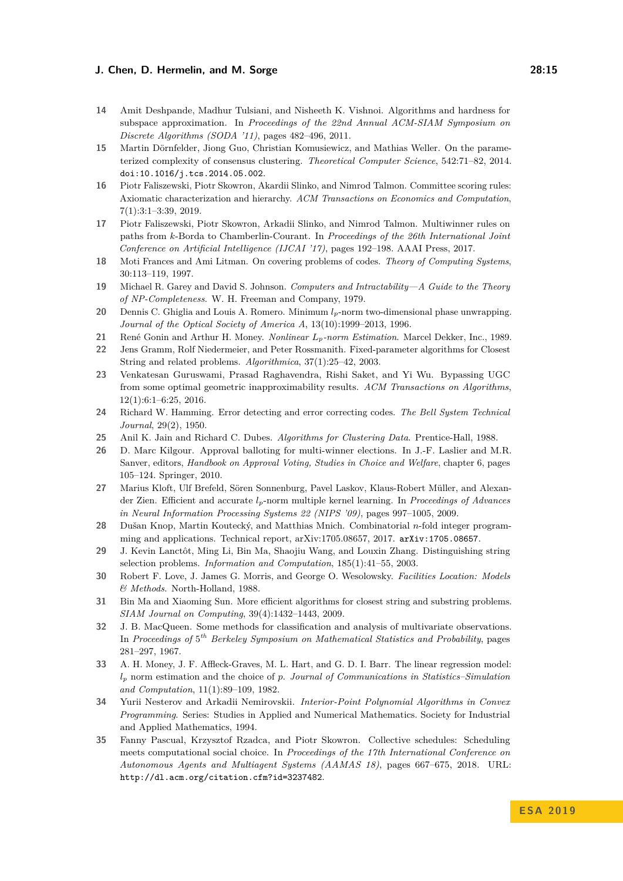- <span id="page-14-18"></span>**14** Amit Deshpande, Madhur Tulsiani, and Nisheeth K. Vishnoi. Algorithms and hardness for subspace approximation. In *Proceedings of the 22nd Annual ACM-SIAM Symposium on Discrete Algorithms (SODA '11)*, pages 482–496, 2011.
- <span id="page-14-20"></span>**15** Martin Dörnfelder, Jiong Guo, Christian Komusiewicz, and Mathias Weller. On the parameterized complexity of consensus clustering. *Theoretical Computer Science*, 542:71–82, 2014. [doi:10.1016/j.tcs.2014.05.002](https://doi.org/10.1016/j.tcs.2014.05.002).
- <span id="page-14-11"></span>**16** Piotr Faliszewski, Piotr Skowron, Akardii Slinko, and Nimrod Talmon. Committee scoring rules: Axiomatic characterization and hierarchy. *ACM Transactions on Economics and Computation*, 7(1):3:1–3:39, 2019.
- <span id="page-14-7"></span>**17** Piotr Faliszewski, Piotr Skowron, Arkadii Slinko, and Nimrod Talmon. Multiwinner rules on paths from *k*-Borda to Chamberlin-Courant. In *Proceedings of the 26th International Joint Conference on Artificial Intelligence (IJCAI '17)*, pages 192–198. AAAI Press, 2017.
- <span id="page-14-14"></span>**18** Moti Frances and Ami Litman. On covering problems of codes. *Theory of Computing Systems*, 30:113–119, 1997.
- <span id="page-14-21"></span>**19** Michael R. Garey and David S. Johnson. *Computers and Intractability—A Guide to the Theory of NP-Completeness*. W. H. Freeman and Company, 1979.
- <span id="page-14-5"></span>**20** Dennis C. Ghiglia and Louis A. Romero. Minimum *lp*-norm two-dimensional phase unwrapping. *Journal of the Optical Society of America A*, 13(10):1999–2013, 1996.
- <span id="page-14-3"></span>**21** René Gonin and Arthur H. Money. *Nonlinear Lp-norm Estimation*. Marcel Dekker, Inc., 1989.
- <span id="page-14-16"></span>**22** Jens Gramm, Rolf Niedermeier, and Peter Rossmanith. Fixed-parameter algorithms for Closest String and related problems. *Algorithmica*, 37(1):25–42, 2003.
- <span id="page-14-19"></span>**23** Venkatesan Guruswami, Prasad Raghavendra, Rishi Saket, and Yi Wu. Bypassing UGC from some optimal geometric inapproximability results. *ACM Transactions on Algorithms*, 12(1):6:1–6:25, 2016.
- <span id="page-14-0"></span>**24** Richard W. Hamming. Error detecting and error correcting codes. *The Bell System Technical Journal*, 29(2), 1950.
- <span id="page-14-9"></span>**25** Anil K. Jain and Richard C. Dubes. *Algorithms for Clustering Data*. Prentice-Hall, 1988.
- <span id="page-14-12"></span>**26** D. Marc Kilgour. Approval balloting for multi-winner elections. In J.-F. Laslier and M.R. Sanver, editors, *Handbook on Approval Voting, Studies in Choice and Welfare*, chapter 6, pages 105–124. Springer, 2010.
- <span id="page-14-6"></span>**27** Marius Kloft, Ulf Brefeld, Sören Sonnenburg, Pavel Laskov, Klaus-Robert Müller, and Alexander Zien. Efficient and accurate *lp*-norm multiple kernel learning. In *Proceedings of Advances in Neural Information Processing Systems 22 (NIPS '09)*, pages 997–1005, 2009.
- <span id="page-14-13"></span>**28** Dušan Knop, Martin Koutecký, and Matthias Mnich. Combinatorial *n*-fold integer programming and applications. Technical report, arXiv:1705.08657, 2017. [arXiv:1705.08657](http://arxiv.org/abs/1705.08657).
- <span id="page-14-15"></span>**29** J. Kevin Lanctôt, Ming Li, Bin Ma, Shaojiu Wang, and Louxin Zhang. Distinguishing string selection problems. *Information and Computation*, 185(1):41–55, 2003.
- <span id="page-14-2"></span>**30** Robert F. Love, J. James G. Morris, and George O. Wesolowsky. *Facilities Location: Models & Methods*. North-Holland, 1988.
- <span id="page-14-17"></span>**31** Bin Ma and Xiaoming Sun. More efficient algorithms for closest string and substring problems. *SIAM Journal on Computing*, 39(4):1432–1443, 2009.
- <span id="page-14-8"></span>**32** J. B. MacQueen. Some methods for classification and analysis of multivariate observations. In *Proceedings of* 5 *th Berkeley Symposium on Mathematical Statistics and Probability*, pages 281–297, 1967.
- <span id="page-14-1"></span>**33** A. H. Money, J. F. Affleck-Graves, M. L. Hart, and G. D. I. Barr. The linear regression model: *l<sup>p</sup>* norm estimation and the choice of *p*. *Journal of Communications in Statistics–Simulation and Computation*, 11(1):89–109, 1982.
- <span id="page-14-4"></span>**34** Yurii Nesterov and Arkadii Nemirovskii. *Interior-Point Polynomial Algorithms in Convex Programming*. Series: Studies in Applied and Numerical Mathematics. Society for Industrial and Applied Mathematics, 1994.
- <span id="page-14-10"></span>**35** Fanny Pascual, Krzysztof Rzadca, and Piotr Skowron. Collective schedules: Scheduling meets computational social choice. In *Proceedings of the 17th International Conference on Autonomous Agents and Multiagent Systems (AAMAS 18)*, pages 667–675, 2018. URL: <http://dl.acm.org/citation.cfm?id=3237482>.